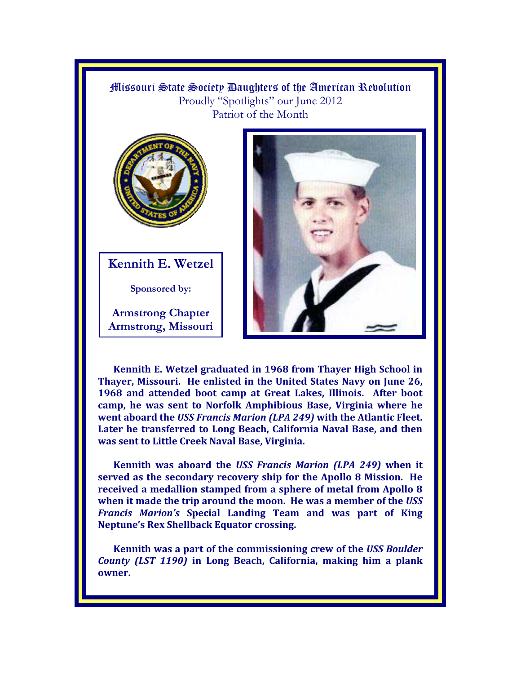Missouri State Society Daughters of the American Revolution Proudly "Spotlights" our June 2012 Patriot of the Month



**Kennith E. Wetzel** 

**Sponsored by:** 

**Armstrong Chapter Armstrong, Missouri** 



**Kennith E. Wetzel graduated in 1968 from Thayer High School in Thayer, Missouri. He enlisted in the United States Navy on June 26, 1968 and attended boot camp at Great Lakes, Illinois. After boot camp, he was sent to Norfolk Amphibious Base, Virginia where he went aboard the** *USS Francis Marion (LPA 249)* **with the Atlantic Fleet. Later he transferred to Long Beach, California Naval Base, and then was sent to Little Creek Naval Base, Virginia.** 

**Kennith was aboard the** *USS Francis Marion (LPA 249)* **when it served as the secondary recovery ship for the Apollo 8 Mission. He received a medallion stamped from a sphere of metal from Apollo 8 when it made the trip around the moon. He was a member of the** *USS Francis Marion's* **Special Landing Team and was part of King Neptune's Rex Shellback Equator crossing.** 

**Kennith was a part of the commissioning crew of the** *USS Boulder County (LST 1190)* **in Long Beach, California, making him a plank owner.**